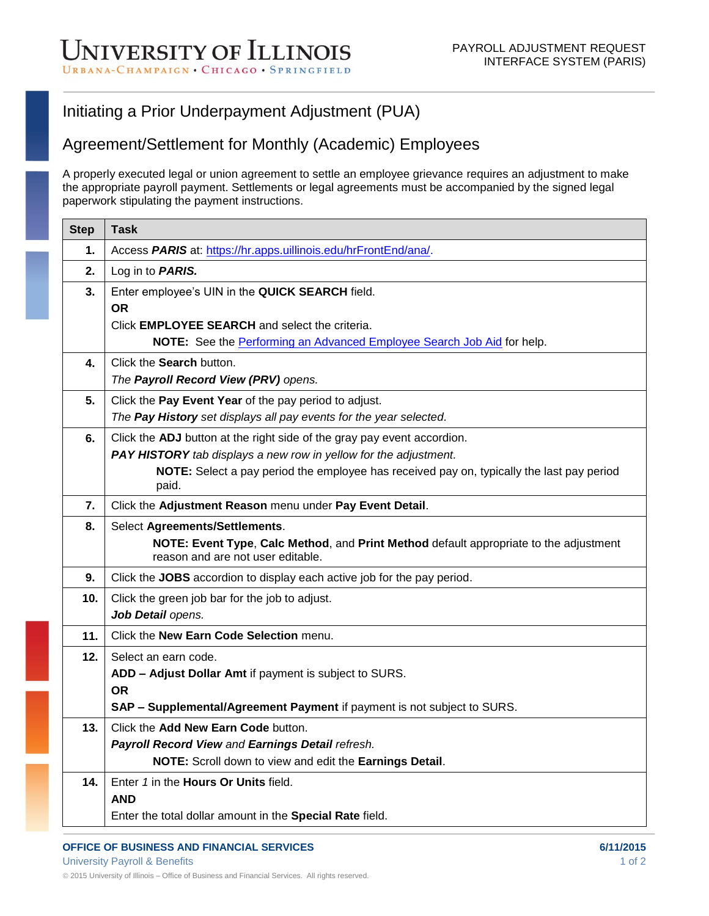## Initiating a Prior Underpayment Adjustment (PUA)

## Agreement/Settlement for Monthly (Academic) Employees

A properly executed legal or union agreement to settle an employee grievance requires an adjustment to make the appropriate payroll payment. Settlements or legal agreements must be accompanied by the signed legal paperwork stipulating the payment instructions.

| <b>Step</b> | <b>Task</b>                                                                                                                 |
|-------------|-----------------------------------------------------------------------------------------------------------------------------|
| 1.          | Access PARIS at: https://hr.apps.uillinois.edu/hrFrontEnd/ana/.                                                             |
| 2.          | Log in to <b>PARIS.</b>                                                                                                     |
| 3.          | Enter employee's UIN in the QUICK SEARCH field.                                                                             |
|             | <b>OR</b>                                                                                                                   |
|             | Click <b>EMPLOYEE SEARCH</b> and select the criteria.                                                                       |
|             | NOTE: See the Performing an Advanced Employee Search Job Aid for help.                                                      |
| 4.          | Click the Search button.<br>The Payroll Record View (PRV) opens.                                                            |
|             |                                                                                                                             |
| 5.          | Click the Pay Event Year of the pay period to adjust.<br>The Pay History set displays all pay events for the year selected. |
| 6.          | Click the ADJ button at the right side of the gray pay event accordion.                                                     |
|             | <b>PAY HISTORY</b> tab displays a new row in yellow for the adjustment.                                                     |
|             | NOTE: Select a pay period the employee has received pay on, typically the last pay period                                   |
|             | paid.                                                                                                                       |
| 7.          | Click the Adjustment Reason menu under Pay Event Detail.                                                                    |
| 8.          | Select Agreements/Settlements.                                                                                              |
|             | NOTE: Event Type, Calc Method, and Print Method default appropriate to the adjustment<br>reason and are not user editable.  |
| 9.          | Click the JOBS accordion to display each active job for the pay period.                                                     |
| 10.         | Click the green job bar for the job to adjust.                                                                              |
|             | Job Detail opens.                                                                                                           |
| 11.         | Click the New Earn Code Selection menu.                                                                                     |
| 12.         | Select an earn code.                                                                                                        |
|             | ADD - Adjust Dollar Amt if payment is subject to SURS.                                                                      |
|             | <b>OR</b><br>SAP - Supplemental/Agreement Payment if payment is not subject to SURS.                                        |
| 13.         | Click the Add New Earn Code button.                                                                                         |
|             | Payroll Record View and Earnings Detail refresh.                                                                            |
|             | NOTE: Scroll down to view and edit the Earnings Detail.                                                                     |
| 14.         | Enter 1 in the <b>Hours Or Units</b> field.                                                                                 |
|             | <b>AND</b>                                                                                                                  |
|             | Enter the total dollar amount in the Special Rate field.                                                                    |